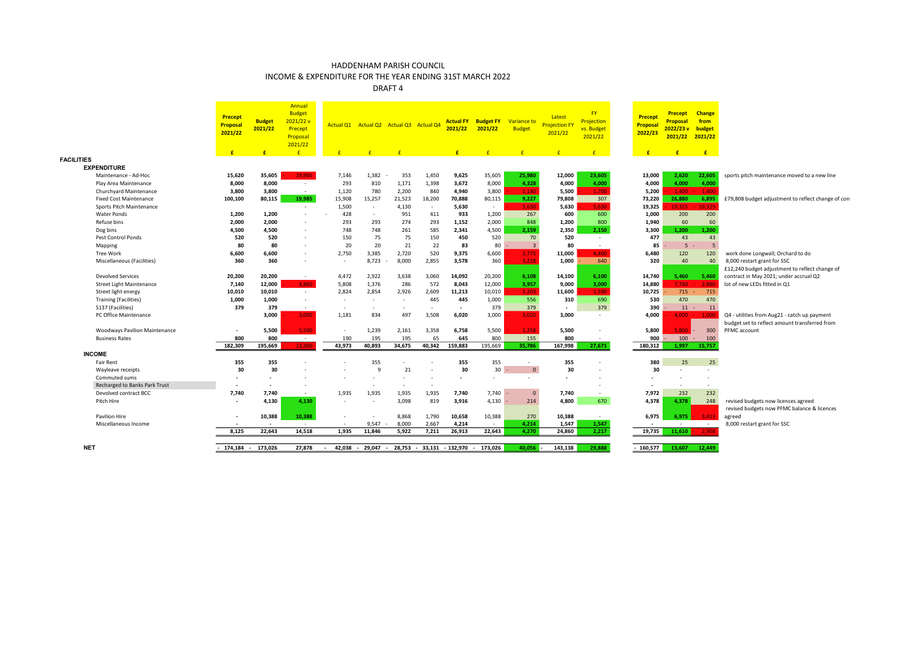INCOME & EXPENDITURE FOR THE YEAR ENDING 31ST MARCH 2022

|                                      | Precept<br>Proposal<br>2021/22<br>F | <b>Budget</b><br>2021/22<br>$\mathbf{f}$ | Annual<br><b>Budget</b><br>2021/22v<br>Precept<br>Proposal<br>2021/22<br>$\mathbf{f}$ |                          |                          | Actual Q1 Actual Q2 Actual Q3 Actual Q4 |        | 2021/22<br>£.            | <b>Actual FY Budget FY</b><br>2021/22<br>F | Variance to<br><b>Budget</b><br>$\sqrt{f}$ | Latest<br><b>Projection FY</b><br>2021/22 | FY<br>Projection<br>vs. Budget<br>2021/22<br>$\mathbf{f}$ | Precept<br>Proposal<br>2022/23<br>$\mathbf{f}$ | <b>Precept</b><br><b>Proposal</b><br>2022/23v<br>2021/22<br>$\mathbf{f}$ | <b>Change</b><br>from<br>budget<br>2021/22<br>E |                                                                                               |
|--------------------------------------|-------------------------------------|------------------------------------------|---------------------------------------------------------------------------------------|--------------------------|--------------------------|-----------------------------------------|--------|--------------------------|--------------------------------------------|--------------------------------------------|-------------------------------------------|-----------------------------------------------------------|------------------------------------------------|--------------------------------------------------------------------------|-------------------------------------------------|-----------------------------------------------------------------------------------------------|
| <b>FACILITIES</b>                    |                                     |                                          |                                                                                       |                          |                          |                                         |        |                          |                                            |                                            |                                           |                                                           |                                                |                                                                          |                                                 |                                                                                               |
| <b>EXPENDITURE</b>                   |                                     |                                          |                                                                                       |                          |                          |                                         |        |                          |                                            |                                            |                                           |                                                           |                                                |                                                                          |                                                 |                                                                                               |
| Maintenance - Ad-Hoc                 | 15,620                              | 35,605                                   | 19.985                                                                                | 7,146                    | 1,382                    | 353                                     | 1.450  | 9,625                    | 35,605                                     | 25,980                                     | 12,000                                    | 23,605                                                    | 13,000                                         | 2,620                                                                    | 22,605                                          | sports pitch maintenance moved to a new line                                                  |
| Play Area Maintenance                | 8,000                               | 8,000                                    | $\sim$                                                                                | 293                      | 810                      | 1,171                                   | 1,398  | 3,672                    | 8,000                                      | 4,328                                      | 4,000                                     | 4,000                                                     | 4,000                                          | 4,000                                                                    | 4,000                                           |                                                                                               |
| Churchyard Maintenance               | 3,800                               | 3,800                                    | $\sim$                                                                                | 1,120                    | 780                      | 2,200                                   | 840    | 4,940                    | 3,800                                      | 1,140                                      | 5,500                                     | 1.700                                                     | 5,200                                          | 1,400                                                                    | 1,400                                           |                                                                                               |
| <b>Fixed Cost Maintenance</b>        | 100,100                             | 80,115                                   | 19.985                                                                                | 15,908                   | 15,257                   | 21,523                                  | 18,200 | 70,888                   | 80,115                                     | 9,227                                      | 79,808                                    | 307                                                       | 73,220                                         | 26.880                                                                   | 6,895                                           | £79,808 budget adjustment to reflect change of con                                            |
| Sports Pitch Maintenance             |                                     |                                          | $\sim$                                                                                | 1,500                    | $\sim$                   | 4,130                                   |        | 5,630                    | $\sim$                                     | 5.630                                      | 5,630                                     | 5.630                                                     | 19,325                                         | 19.325                                                                   | 19.325                                          |                                                                                               |
| <b>Water Ponds</b>                   | 1,200                               | 1,200                                    | $\sim$                                                                                | 428                      | $\sim$                   | 951                                     | 411    | 933                      | 1,200                                      | 267                                        | 600                                       | 600                                                       | 1.000                                          | 200                                                                      | 200                                             |                                                                                               |
| Refuse bins                          | 2,000                               | 2,000                                    |                                                                                       | 293                      | 293                      | 274                                     | 293    | 1,152                    | 2,000                                      | 848                                        | 1,200                                     | 800                                                       | 1,940                                          | 60                                                                       | 60                                              |                                                                                               |
| Dog bins                             | 4,500                               | 4.500                                    | $\sim$                                                                                | 748                      | 748                      | 261                                     | 585    | 2,341                    | 4,500                                      | 2,159                                      | 2,350                                     | 2,150                                                     | 3,300                                          | 1.200                                                                    | 1.200                                           |                                                                                               |
| Pest Control Ponds                   | 520                                 | 520                                      | $\sim$                                                                                | 150                      | 75                       | 75                                      | 150    | 450                      | 520                                        | 70                                         | 520                                       | $\sim$                                                    | 477                                            | 43                                                                       | 43                                              |                                                                                               |
| Mapping                              | 80                                  | 80                                       |                                                                                       | 20                       | 20                       | 21                                      | 22     | 83                       | 80                                         | $\overline{\mathbf{3}}$                    | 80                                        | $\sim$                                                    | 85                                             | 5                                                                        |                                                 |                                                                                               |
| Tree Work                            | 6,600                               | 6,600                                    | $\sim$                                                                                | 2,750                    | 3,385                    | 2,720                                   | 520    | 9,375                    | 6,600                                      | 2,775                                      | 11,000                                    | 4.400                                                     | 6,480                                          | 120                                                                      | 120                                             | work done Longwall; Orchard to do                                                             |
| Miscellaneous (Facilities)           | 360                                 | 360                                      |                                                                                       |                          | 8,723                    | 8,000                                   | 2,855  | 3,578                    | 360                                        | 3,218                                      | 1,000                                     | 640                                                       | 320                                            | 40                                                                       | 40                                              | 8,000 restart grant for SSC                                                                   |
|                                      |                                     |                                          |                                                                                       |                          |                          |                                         |        |                          |                                            |                                            |                                           |                                                           |                                                |                                                                          |                                                 | £12,240 budget adjustment to reflect change of                                                |
| <b>Devolved Services</b>             | 20,200                              | 20,200                                   | $\sim$                                                                                | 4,472                    | 2,922                    | 3,638                                   | 3,060  | 14,092                   | 20,200                                     | 6,108                                      | 14,100                                    | 6,100                                                     | 14,740                                         | 5,460                                                                    | 5,460                                           | contract in May 2021; under accrual Q2                                                        |
| <b>Street Light Maintenance</b>      | 7,140                               | 12,000                                   | 4.860                                                                                 | 5,808                    | 1,376                    | 286                                     | 572    | 8,043                    | 12,000                                     | 3,957                                      | 9,000                                     | 3,000                                                     | 14,880                                         | 7.740                                                                    | 2,880                                           | lot of new LEDs fitted in Q1                                                                  |
| Street light energy                  | 10,010                              | 10,010                                   | $\sim$                                                                                | 2,824                    | 2,854                    | 2,926                                   | 2,609  | 11,213                   | 10,010                                     | 1,203                                      | 11,600                                    | 1.590                                                     | 10,725                                         | 715                                                                      | 715                                             |                                                                                               |
| <b>Training (Facilities)</b>         | 1,000                               | 1,000                                    | $\sim$                                                                                |                          | $\sim$                   |                                         | 445    | 445                      | 1,000                                      | 556                                        | 310                                       | 690                                                       | 530                                            | 470                                                                      | 470                                             |                                                                                               |
| S137 (Facilities)                    | 379                                 | 379                                      | $\sim$                                                                                |                          | $\overline{\phantom{a}}$ |                                         |        | $\overline{\phantom{a}}$ | 379                                        | 379                                        | $\blacksquare$                            | 379                                                       | 390                                            | $11 -$                                                                   | 11                                              |                                                                                               |
| PC Office Maintenance                |                                     | 3,000                                    | 3,000                                                                                 | 1,181                    | 834                      | 497                                     | 3,508  | 6,020                    | 3,000                                      | 3,020                                      | 3,000                                     |                                                           | 4,000                                          | 4.000                                                                    | 1.000                                           | Q4 - utilities from Aug21 - catch up payment<br>budget set to reflect amount transferred from |
| <b>Woodways Pavilion Maintenance</b> | $\overline{\phantom{a}}$            | 5.500                                    | 5.500                                                                                 |                          | 1,239                    | 2.161                                   | 3.358  | 6,758                    | 5,500                                      | 1,258                                      | 5,500                                     |                                                           | 5.800                                          | 5.800                                                                    | 300                                             | PFMC account                                                                                  |
| <b>Business Rates</b>                | 800                                 | 800                                      | $\sim 100$                                                                            | 190                      | 195                      | 195                                     | 65     | 645                      | 800                                        | 155                                        | 800                                       | $\sim$                                                    | 900                                            | 100                                                                      | 100                                             |                                                                                               |
|                                      | 182,309                             | 195,669                                  | 13,360                                                                                | 43,973                   | 40,893                   | 34,675                                  | 40,342 | 159,883                  | 195,669                                    | 35,786                                     | 167,998                                   | 27,671                                                    | 180,312                                        | 1.997                                                                    | 15.757                                          |                                                                                               |
| <b>INCOME</b>                        |                                     |                                          |                                                                                       |                          |                          |                                         |        |                          |                                            |                                            |                                           |                                                           |                                                |                                                                          |                                                 |                                                                                               |
| <b>Fair Rent</b>                     | 355                                 | 355                                      |                                                                                       |                          | 355                      |                                         |        | 355                      | 355                                        | $\sim$                                     | 355                                       |                                                           | 380                                            | 25                                                                       | 25                                              |                                                                                               |
| Wayleave receipts                    | 30                                  | 30                                       |                                                                                       |                          | $\mathbf{q}$             | 21                                      |        | 30                       | 30                                         | $\mathbf{0}$                               | 30                                        |                                                           | 30                                             |                                                                          | $\sim$                                          |                                                                                               |
| Commuted sums                        | $\sim$                              | $\overline{\phantom{a}}$                 |                                                                                       |                          |                          |                                         |        | $\overline{\phantom{a}}$ |                                            | $\sim$                                     | $\overline{\phantom{a}}$                  |                                                           |                                                |                                                                          | $\overline{\phantom{a}}$                        |                                                                                               |
| Recharged to Banks Park Trust        | $\overline{\phantom{a}}$            | $\overline{\phantom{a}}$                 |                                                                                       |                          | $\sim$                   |                                         |        |                          |                                            |                                            |                                           |                                                           |                                                | ٠                                                                        | $\sim$                                          |                                                                                               |
| Devolved contract BCC                | 7,740                               | 7,740                                    | $\sim$                                                                                | 1,935                    | 1,935                    | 1,935                                   | 1,935  | 7,740                    | 7,740                                      | $\mathbf{0}$                               | 7,740                                     | $\sim$                                                    | 7,972                                          | 232                                                                      | 232                                             |                                                                                               |
| Pitch Hire                           | $\overline{\phantom{a}}$            | 4,130                                    | 4,130                                                                                 |                          |                          | 3,098                                   | 819    | 3,916                    | 4,130                                      | 214                                        | 4,800                                     | 670                                                       | 4,378                                          | 4,378                                                                    | 248                                             | revised budgets now licences agreed<br>revised budgets now PFMC balance & licences            |
| Pavilion Hire                        | $\overline{\phantom{a}}$            | 10,388                                   | 10,388                                                                                | $\overline{\phantom{a}}$ |                          | 8,868                                   | 1,790  | 10,658                   | 10,388                                     | 270                                        | 10,388                                    | $\sim$                                                    | 6,975                                          | 6,975                                                                    | 3,413                                           | agreed                                                                                        |
| Miscellaneous Income                 |                                     |                                          | $\sim$                                                                                |                          | 9,547                    | 8.000                                   | 2,667  | 4,214                    | $\sim$                                     | 4.214                                      | 1,547                                     | 1,547                                                     |                                                | $\sim$                                                                   | $\sim 10^{-11}$                                 | 8,000 restart grant for SSC                                                                   |
|                                      | 8,125                               | 22,643                                   | 14,518                                                                                | 1,935                    | 11,846                   | 5,922                                   | 7,211  | 26,913                   | 22,643                                     | 4,270                                      | 24,860                                    | 2,217                                                     | 19,735                                         | 11,610                                                                   | 2,908                                           |                                                                                               |
| <b>NET</b>                           | $-174.184 - 173.026$                |                                          | 27.878                                                                                | 42.038                   | 29.047                   | 28.753                                  |        | $-33,131 - 132,970$      | 173.026                                    | 40,056                                     | 143,138                                   | 29,888                                                    | $-160,577$                                     | 13.607                                                                   | 12,449                                          |                                                                                               |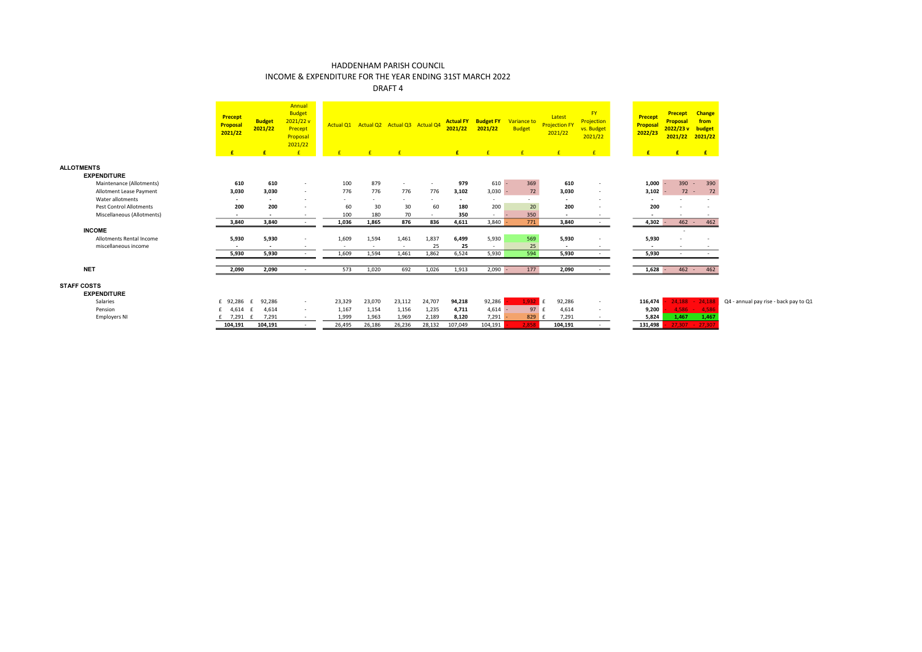## INCOME & EXPENDITURE FOR THE YEAR ENDING 31ST MARCH 2022

|                                          | Precept<br>Proposal<br>2021/22<br>£ | <b>Budget</b><br>2021/22<br>£ | Annual<br><b>Budget</b><br>2021/22 v<br>Precept<br>Proposal<br>2021/22<br>E |        | Actual Q1 Actual Q2 Actual Q3 Actual Q4 | $-F$   |        | 2021/22<br>E   | <b>Actual FY Budget FY</b><br>2021/22<br>$\mathbf{f}$ | Variance to<br><b>Budget</b><br>$\mathbf{f}$ | Latest<br><b>Projection FY</b><br>2021/22<br>$\mathbf{f}$ | FY <sub>1</sub><br>Projection<br>vs. Budget<br>2021/22<br>E | <b>Precept</b><br>Proposal<br>2022/23<br>E | <b>Precept</b><br>Proposal<br>2022/23 v budget<br>2021/22<br>E | <b>Change</b><br>from<br>2021/22<br>E |                                       |
|------------------------------------------|-------------------------------------|-------------------------------|-----------------------------------------------------------------------------|--------|-----------------------------------------|--------|--------|----------------|-------------------------------------------------------|----------------------------------------------|-----------------------------------------------------------|-------------------------------------------------------------|--------------------------------------------|----------------------------------------------------------------|---------------------------------------|---------------------------------------|
| <b>ALLOTMENTS</b>                        |                                     |                               |                                                                             |        |                                         |        |        |                |                                                       |                                              |                                                           |                                                             |                                            |                                                                |                                       |                                       |
| <b>EXPENDITURE</b>                       |                                     |                               |                                                                             |        |                                         |        |        |                |                                                       |                                              |                                                           |                                                             |                                            |                                                                |                                       |                                       |
| Maintenance (Allotments)                 | 610                                 | 610                           | $\sim$                                                                      | 100    | 879                                     | $\sim$ | $\sim$ | 979            | $610 -$                                               | 369                                          | 610                                                       | $\sim$                                                      | 1,000                                      | 390                                                            | 390<br>$\sim$                         |                                       |
| Allotment Lease Payment                  | 3,030                               | 3.030                         | $\overline{\phantom{a}}$                                                    | 776    | 776                                     | 776    | 776    | 3,102          | $3,030 -$                                             | 72                                           | 3,030                                                     | $\overline{\phantom{a}}$                                    | $3,102 -$                                  | $72 -$                                                         | 72                                    |                                       |
| Water allotments                         | $\sim$                              | $\sim$                        | $\sim$                                                                      | $\sim$ | $\sim$                                  | $\sim$ | $\sim$ | $\overline{a}$ |                                                       | $\sim$                                       | $\sim$                                                    |                                                             | $\sim$                                     |                                                                | $\overline{\phantom{a}}$              |                                       |
| <b>Pest Control Allotments</b>           | 200                                 | 200                           | $\overline{\phantom{a}}$                                                    | 60     | 30                                      | 30     | 60     | 180            | 200                                                   | 20                                           | 200                                                       |                                                             | 200                                        |                                                                |                                       |                                       |
| Miscellaneous (Allotments)               | $\overline{\phantom{a}}$            | $\sim$                        | $\sim$                                                                      | 100    | 180                                     | 70     | $\sim$ | 350            | $\sim$                                                | 350                                          | $\sim$                                                    | $\sim$                                                      | $\sim$                                     |                                                                |                                       |                                       |
|                                          | 3,840                               | 3,840                         | $\sim$                                                                      | 1,036  | 1,865                                   | 876    | 836    | 4,611          | 3,840                                                 | 771                                          | 3,840                                                     | $\sim$                                                      | $4,302 -$                                  | $462 -$                                                        | 462                                   |                                       |
| <b>INCOME</b>                            |                                     |                               |                                                                             |        |                                         |        |        |                |                                                       |                                              |                                                           |                                                             |                                            |                                                                |                                       |                                       |
| Allotments Rental Income                 | 5,930                               | 5,930                         | $\overline{\phantom{a}}$                                                    | 1,609  | 1,594                                   | 1,461  | 1,837  | 6,499          | 5,930                                                 | 569                                          | 5,930                                                     | $\overline{\phantom{a}}$                                    | 5,930                                      |                                                                | $\overline{\phantom{a}}$              |                                       |
| miscellaneous income                     |                                     |                               |                                                                             | $\sim$ |                                         | $\sim$ | 25     | 25             | $\sim$                                                | 25                                           | $\overline{\phantom{a}}$                                  |                                                             |                                            |                                                                |                                       |                                       |
|                                          | 5,930                               | 5,930                         | $\overline{\phantom{a}}$                                                    | 1,609  | 1,594                                   | 1,461  | 1,862  | 6,524          | 5,930                                                 | 594                                          | 5,930                                                     | $\sim$                                                      | 5,930                                      |                                                                |                                       |                                       |
|                                          |                                     |                               |                                                                             |        |                                         |        |        |                |                                                       |                                              |                                                           |                                                             |                                            |                                                                |                                       |                                       |
| <b>NET</b>                               | 2,090                               | 2,090                         | $\overline{\phantom{a}}$                                                    | 573    | 1,020                                   | 692    | 1,026  | 1,913          | $2.090 -$                                             | 177                                          | 2,090                                                     | $\sim$                                                      | $1.628 -$                                  | $462 -$                                                        | 462                                   |                                       |
| <b>STAFF COSTS</b><br><b>EXPENDITURE</b> |                                     |                               |                                                                             |        |                                         |        |        |                |                                                       |                                              |                                                           |                                                             |                                            |                                                                |                                       |                                       |
| Salaries                                 | £ 92.286 £                          | 92,286                        | $\sim$                                                                      | 23,329 | 23,070                                  | 23,112 | 24,707 | 94,218         | 92,286                                                | 1.932                                        | 92,286<br>$\mathsf{F}$                                    | $\sim$                                                      | 116,474                                    | 24,188                                                         | $-24,188$                             | Q4 - annual pay rise - back pay to Q1 |
| Pension                                  | £ 4,614                             | 4,614                         | $\sim$                                                                      | 1,167  | 1,154                                   | 1,156  | 1,235  | 4,711          | 4,614                                                 | 97                                           | 4,614                                                     | $\sim$                                                      | 9,200                                      |                                                                | $4,586 - 4,586$                       |                                       |
| <b>Employers NI</b>                      | £ 7,291 £                           | 7,291                         | $\sim$                                                                      | 1,999  | 1,963                                   | 1,969  | 2,189  | 8,120          | 7,291                                                 | $829$ $E$                                    | 7,291                                                     | $\sim$                                                      | 5,824                                      | 1,467                                                          | 1,467                                 |                                       |
|                                          | 104,191                             | 104,191                       | $\sim$                                                                      | 26,495 | 26,186                                  | 26,236 | 28,132 | 107,049        | 104,191                                               | 2,858                                        | 104,191                                                   | $\sim$                                                      | 131,498                                    |                                                                | $27,307 - 27,307$                     |                                       |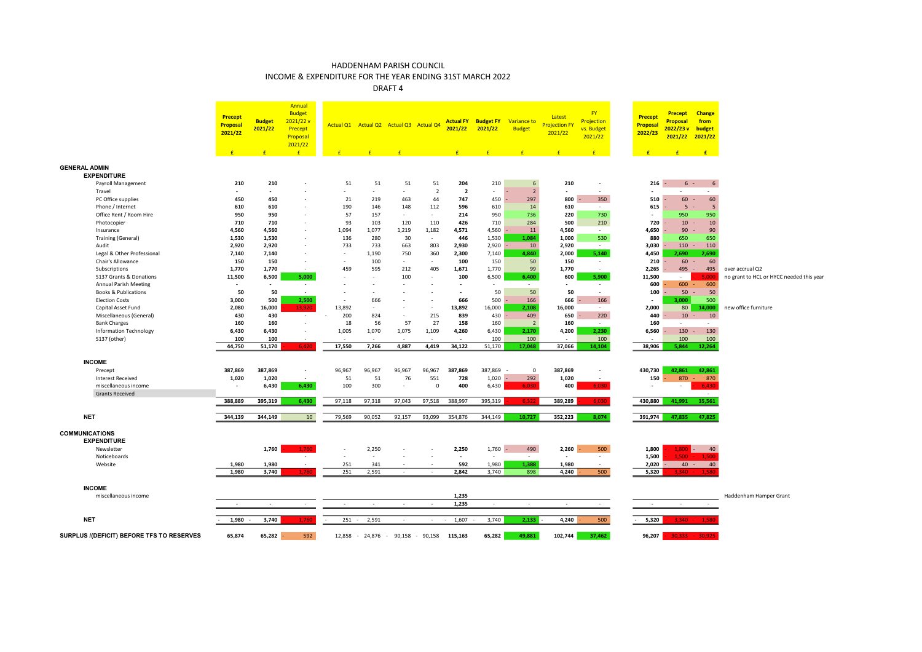INCOME & EXPENDITURE FOR THE YEAR ENDING 31ST MARCH 2022

|                                           | <b>Precept</b><br>Proposal<br>2021/22<br>£ | <b>Budget</b><br>2021/22<br>E | Annual<br><b>Budget</b><br>2021/22v<br>Precept<br>Proposal<br>2021/22<br>$\mathbf{f}$ | $\mathbf{f}$             | Actual Q1 Actual Q2 Actual Q3 Actual Q4<br>$\mathbf{f}$ | $\mathbf{f}$             |                          | 2021/22<br>E             | <b>Actual FY Budget FY</b><br>2021/22<br>$\mathbf{f}$ | Variance to<br><b>Budget</b><br>$\mathbf{f}$ | Latest<br><b>Projection FY</b><br>2021/22<br>$\mathbf{f}$ | <b>FY</b><br>Projection<br>vs. Budget<br>2021/22<br>$\mathbf{f}$ | Precept<br><b>Proposal</b><br>2022/23<br>$\mathbf{f}$ | <b>Precept</b><br><b>Proposal</b><br>2022/23v<br>2021/22<br>E | <b>Change</b><br>from<br>budget<br>2021/22<br>E |                                          |
|-------------------------------------------|--------------------------------------------|-------------------------------|---------------------------------------------------------------------------------------|--------------------------|---------------------------------------------------------|--------------------------|--------------------------|--------------------------|-------------------------------------------------------|----------------------------------------------|-----------------------------------------------------------|------------------------------------------------------------------|-------------------------------------------------------|---------------------------------------------------------------|-------------------------------------------------|------------------------------------------|
| <b>GENERAL ADMIN</b>                      |                                            |                               |                                                                                       |                          |                                                         |                          |                          |                          |                                                       |                                              |                                                           |                                                                  |                                                       |                                                               |                                                 |                                          |
| <b>EXPENDITURE</b>                        |                                            |                               |                                                                                       |                          |                                                         |                          |                          |                          |                                                       |                                              |                                                           |                                                                  |                                                       |                                                               |                                                 |                                          |
| Payroll Management                        | 210                                        | 210                           |                                                                                       | 51                       | 51                                                      | 51                       | 51                       | 204                      | 210                                                   | 6                                            | 210                                                       | $\sim$                                                           |                                                       | $216 -$                                                       | $6 -$<br>6                                      |                                          |
| Travel                                    |                                            | $\sim$                        |                                                                                       | $\sim$                   | $\sim$                                                  | ÷.                       | $\overline{2}$           | $\overline{2}$           | $\sim$                                                | $\overline{2}$                               |                                                           | ÷.                                                               |                                                       | $\sim$                                                        | $\sim$                                          |                                          |
| PC Office supplies                        | 450                                        | 450                           | ٠                                                                                     | 21                       | 219                                                     | 463                      | 44                       | 747                      | 450                                                   | 297                                          | 800                                                       | 350                                                              | 510                                                   | 60                                                            | 60                                              |                                          |
| Phone / Internet                          | 610                                        | 610                           | ÷,                                                                                    | 190                      | 146                                                     | 148                      | 112                      | 596                      | 610                                                   | 14                                           | 610                                                       | $\sim$                                                           | 615                                                   | -5                                                            | -5                                              |                                          |
| Office Rent / Room Hire                   | 950                                        | 950                           | $\sim$                                                                                | 57                       | 157                                                     | $\sim$                   | $\sim$                   | 214                      | 950                                                   | 736                                          | 220                                                       | 730                                                              |                                                       | 950                                                           | 950                                             |                                          |
| Photocopier                               | 710                                        | 710                           | $\sim$                                                                                | 93                       | 103                                                     | 120                      | 110                      | 426                      | 710                                                   | 284                                          | 500                                                       | 210                                                              | 720                                                   | 10                                                            | 10                                              |                                          |
| Insurance                                 | 4,560                                      | 4,560                         | ٠                                                                                     | 1,094                    | 1,077                                                   | 1,219                    | 1,182                    | 4,571                    | 4,560                                                 | 11                                           | 4,560                                                     | $\sim$                                                           | 4,650                                                 | 90                                                            | 90                                              |                                          |
| Training (General)                        | 1,530                                      | 1,530                         | $\sim$                                                                                | 136                      | 280                                                     | 30                       | $\sim$                   | 446                      | 1,530                                                 | 1,084                                        | 1,000                                                     | 530                                                              | 880                                                   | 650                                                           | 650                                             |                                          |
| Audit                                     | 2,920                                      | 2,920                         | $\sim$                                                                                | 733                      | 733                                                     | 663                      | 803                      | 2,930                    | 2,920                                                 | 10                                           | 2,920                                                     | $\sim 10^{-1}$                                                   | 3,030                                                 | 110                                                           | 110                                             |                                          |
| Legal & Other Professional                | 7,140                                      | 7,140                         | ä,                                                                                    | $\sim$                   | 1,190                                                   | 750                      | 360                      | 2,300                    | 7,140                                                 | 4,840                                        | 2,000                                                     | 5,140                                                            | 4,450                                                 | 2,690                                                         | 2,690                                           |                                          |
| Chair's Allowance                         | 150                                        | 150                           | $\sim$                                                                                | $\sim$                   | 100                                                     | $\sim$                   | $\overline{\phantom{a}}$ | 100                      | 150                                                   | 50                                           | 150                                                       | $\sim$                                                           | 210                                                   | $60 -$                                                        | 60                                              |                                          |
| Subscriptions                             | 1,770                                      | 1,770                         | $\sim$                                                                                | 459                      | 595                                                     | 212                      | 405                      | 1,671                    | 1,770                                                 | 99                                           | 1,770                                                     | $\sim$                                                           | 2,265                                                 | 495                                                           | 495                                             | over accrual Q2                          |
| S137 Grants & Donations                   | 11,500                                     | 6,500                         | 5.000                                                                                 | $\overline{\phantom{a}}$ |                                                         | 100                      |                          | 100                      | 6,500                                                 | 6,400                                        | 600                                                       | 5,900                                                            | 11,500                                                | $\sim$                                                        | 5.000                                           | no grant to HCL or HYCC needed this year |
| <b>Annual Parish Meeting</b>              | $\sim$                                     | $\overline{\phantom{a}}$      | $\sim$                                                                                | $\sim$                   | $\sim$                                                  | $\sim$                   |                          | $\overline{\phantom{a}}$ |                                                       | $\sim$                                       | $\sim$                                                    | $\sim$                                                           | 600                                                   | 600                                                           | 600                                             |                                          |
| Books & Publications                      | 50                                         | 50                            | $\sim$                                                                                | $\overline{\phantom{a}}$ |                                                         | $\overline{\phantom{a}}$ |                          | $\overline{\phantom{a}}$ | 50                                                    | 50                                           | 50                                                        | $\sim$                                                           | 100                                                   | $50 -$                                                        | 50                                              |                                          |
| <b>Election Costs</b>                     | 3,000                                      | 500                           | 2,500                                                                                 | $\sim$                   | 666                                                     |                          |                          | 666                      | 500                                                   | 166                                          | 666                                                       | 166                                                              |                                                       | 3,000                                                         | 500                                             |                                          |
| Capital Asset Fund                        | 2,080                                      | 16,000                        | 13,920                                                                                | 13,892                   | $\sim$                                                  | ٠                        | $\overline{\phantom{a}}$ | 13,892                   | 16,000                                                | 2,108                                        | 16,000                                                    | $\sim$                                                           | 2,000                                                 | 80                                                            | 14,000                                          | new office furniture                     |
| Miscellaneous (General)                   | 430                                        | 430                           | $\sim$ $-$                                                                            | 200                      | 824                                                     | $\sim$                   | 215                      | 839                      | 430                                                   | 409                                          | 650                                                       | 220                                                              | 440                                                   | 10 <sup>10</sup>                                              | 10                                              |                                          |
| <b>Bank Charges</b>                       | 160                                        | 160                           | $\overline{\phantom{a}}$                                                              | 18                       | 56                                                      | 57                       | 27                       | 158                      | 160                                                   | $\overline{2}$                               | 160                                                       | $\sim$                                                           | 160                                                   |                                                               |                                                 |                                          |
| <b>Information Technology</b>             | 6,430                                      | 6,430                         | $\sim$                                                                                | 1,005                    | 1,070                                                   | 1,075                    | 1,109                    | 4,260                    | 6,430                                                 | 2,170                                        | 4,200                                                     | 2,230                                                            | 6,560                                                 | 130                                                           | 130                                             |                                          |
| S137 (other)                              | 100                                        | 100                           | $\sim$                                                                                |                          |                                                         |                          |                          |                          | 100                                                   | 100                                          |                                                           | 100                                                              |                                                       | 100                                                           | 100                                             |                                          |
|                                           | 44,750                                     | 51,170                        | 6,420                                                                                 | 17,550                   | 7,266                                                   | 4,887                    | 4,419                    | 34,122                   | 51,170                                                | 17,048                                       | 37,066                                                    | 14,104                                                           | 38,906                                                | 5,844                                                         | 12,264                                          |                                          |
|                                           |                                            |                               |                                                                                       |                          |                                                         |                          |                          |                          |                                                       |                                              |                                                           |                                                                  |                                                       |                                                               |                                                 |                                          |
| <b>INCOME</b>                             |                                            |                               |                                                                                       |                          |                                                         |                          |                          |                          |                                                       |                                              |                                                           |                                                                  |                                                       |                                                               |                                                 |                                          |
| Precept                                   | 387,869                                    | 387,869                       | $\sim$                                                                                | 96,967                   | 96,967                                                  | 96,967                   | 96,967                   | 387,869                  | 387,869                                               | $\overline{0}$                               | 387,869                                                   |                                                                  | 430,730                                               | 42.861                                                        | 42,861                                          |                                          |
| <b>Interest Received</b>                  | 1,020                                      | 1,020                         | $\sim$                                                                                | 51                       | 51                                                      | 76                       | 551                      | 728                      | 1,020                                                 | 292                                          | 1,020                                                     |                                                                  | 150                                                   | 870                                                           | 870                                             |                                          |
| miscellaneous income                      | $\overline{\phantom{a}}$                   | 6,430                         | 6,430                                                                                 | 100                      | 300                                                     | $\overline{\phantom{a}}$ | $\mathbf 0$              | 400                      | 6,430                                                 | 6,030                                        | 400                                                       | 6,030                                                            |                                                       | $\sim$                                                        | 6,430                                           |                                          |
| <b>Grants Received</b>                    |                                            |                               |                                                                                       |                          |                                                         |                          |                          |                          |                                                       |                                              |                                                           |                                                                  |                                                       |                                                               | $\sim$                                          |                                          |
|                                           | 388,889                                    | 395,319                       | 6,430                                                                                 | 97,118                   | 97,318                                                  | 97,043                   | 97,518                   | 388,997                  | 395,319                                               | 6.322                                        | 389,289                                                   | 6.030                                                            | 430,880                                               | 41,991                                                        | 35,561                                          |                                          |
|                                           |                                            |                               |                                                                                       |                          |                                                         |                          |                          |                          |                                                       |                                              |                                                           |                                                                  |                                                       |                                                               |                                                 |                                          |
| <b>NET</b>                                | 344,139                                    | 344,149                       | 10                                                                                    | 79,569                   | 90,052                                                  | 92,157                   | 93,099                   | 354,876                  | 344,149                                               | 10,727                                       | 352,223                                                   | 8,074                                                            | 391,974                                               | 47,835                                                        | 47,825                                          |                                          |
| <b>COMMUNICATIONS</b>                     |                                            |                               |                                                                                       |                          |                                                         |                          |                          |                          |                                                       |                                              |                                                           |                                                                  |                                                       |                                                               |                                                 |                                          |
| <b>EXPENDITURE</b>                        |                                            |                               |                                                                                       |                          |                                                         |                          |                          |                          |                                                       |                                              |                                                           |                                                                  |                                                       |                                                               |                                                 |                                          |
| Newsletter                                |                                            | 1,760                         | 1.760                                                                                 | $\sim$                   | 2,250                                                   |                          |                          |                          | $1,760 -$                                             |                                              |                                                           |                                                                  | 1,800                                                 | $1,800$ -                                                     | 40                                              |                                          |
|                                           |                                            |                               | $\sim$                                                                                | $\sim$                   | $\sim$                                                  |                          |                          | 2,250                    |                                                       | 490                                          | 2,260                                                     | 500                                                              |                                                       | $1.500 -$                                                     | $-1.500$                                        |                                          |
| Noticeboards                              |                                            |                               |                                                                                       |                          |                                                         |                          |                          | $\blacksquare$           |                                                       | $\sim$                                       |                                                           | $\sim$<br>$\sim$                                                 | 1,500                                                 |                                                               |                                                 |                                          |
| Website                                   | 1,980<br>1,980                             | 1,980<br>3,740                | $\sim$<br>1,760                                                                       | 251<br>251               | 341<br>2,591                                            | ÷.                       | ÷.                       | 592<br>2,842             | 1,980<br>3,740                                        | 1,388<br>898                                 | 1,980<br>4,240                                            | 500                                                              | 2,020<br>5,320                                        | $40 -$                                                        | 40<br>3,340 - 1,580                             |                                          |
|                                           |                                            |                               |                                                                                       |                          |                                                         |                          |                          |                          |                                                       |                                              |                                                           |                                                                  |                                                       |                                                               |                                                 |                                          |
| <b>INCOME</b>                             |                                            |                               |                                                                                       |                          |                                                         |                          |                          |                          |                                                       |                                              |                                                           |                                                                  |                                                       |                                                               |                                                 |                                          |
|                                           |                                            |                               |                                                                                       |                          |                                                         |                          |                          |                          |                                                       |                                              |                                                           |                                                                  |                                                       |                                                               |                                                 |                                          |
| miscellaneous income                      | $\sim$                                     | $\sim$                        |                                                                                       | $\sim$                   | $\sim$                                                  | $\sim$                   | $\sim$                   | 1,235<br>1,235           | $\sim$                                                | $\sim$                                       | $\sim$                                                    |                                                                  | $\sim$                                                |                                                               |                                                 | Haddenham Hamper Grant                   |
|                                           |                                            |                               |                                                                                       |                          |                                                         |                          |                          |                          |                                                       |                                              |                                                           |                                                                  |                                                       |                                                               |                                                 |                                          |
| <b>NET</b>                                | 1,980                                      | 3,740                         | 1,760                                                                                 | $251 -$                  | 2,591                                                   | $\sim$                   | $\sim$                   | 1,607<br>$\sim$          | 3,740                                                 | 2,133                                        | 4,240                                                     | 500                                                              | 5,320                                                 | $3,340 -$                                                     | -1.58                                           |                                          |
|                                           |                                            |                               |                                                                                       |                          |                                                         |                          |                          |                          |                                                       |                                              |                                                           |                                                                  |                                                       |                                                               |                                                 |                                          |
| SURPLUS //DEFICIT) BEFORE TFS TO RESERVES | 65,874                                     | 65,282                        | 592                                                                                   |                          | 12,858 - 24,876 -                                       |                          | 90,158 - 90,158          | 115,163                  | 65,282                                                | 49,881                                       | 102,744                                                   | 37,462                                                           | 96,207                                                |                                                               | $30.333 - 30.925$                               |                                          |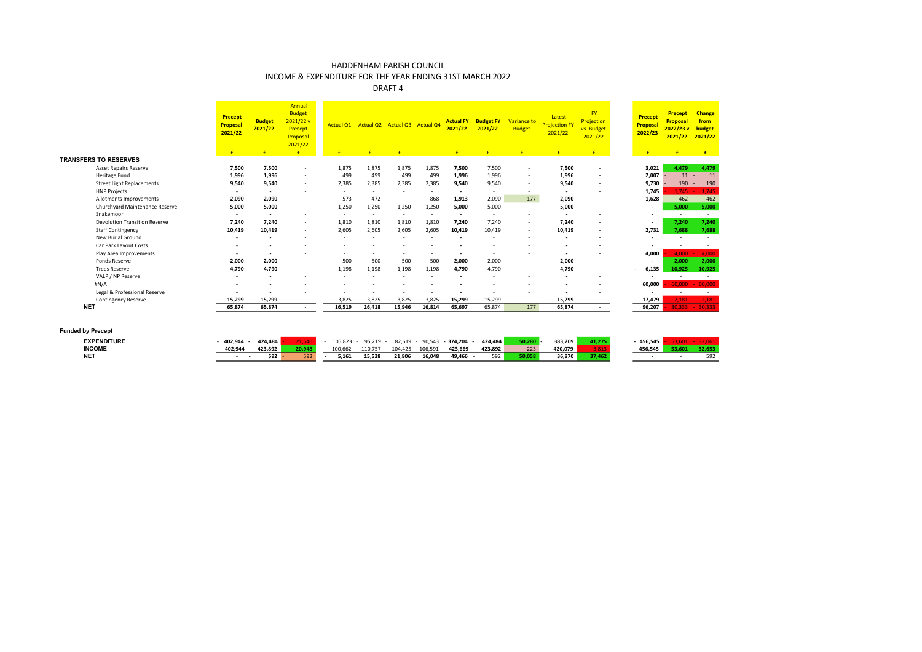INCOME & EXPENDITURE FOR THE YEAR ENDING 31ST MARCH 2022

|                                      | <b>Precept</b><br><b>Proposal</b><br>2021/22 | <b>Budget</b><br>2021/22 | Annual<br><b>Budget</b><br>2021/22v<br>Precept<br>Proposal<br>2021/22 | Actual Q1                |              | Actual Q2 Actual Q3 Actual Q4 |        | <b>Actual FY</b><br>2021/22 | <b>Budget FY</b><br>2021/22 | Variance to<br><b>Budget</b> | Latest<br><b>Projection FY</b><br>2021/22 | <b>FY</b><br><b>Projection</b><br>vs. Budget<br>2021/22 | <b>Precept</b><br><b>Proposal</b><br>2022/23 | <b>Precept</b><br>Proposal<br>2022/23v<br>2021/22 | <b>Change</b><br>from<br>budget<br>2021/22 |
|--------------------------------------|----------------------------------------------|--------------------------|-----------------------------------------------------------------------|--------------------------|--------------|-------------------------------|--------|-----------------------------|-----------------------------|------------------------------|-------------------------------------------|---------------------------------------------------------|----------------------------------------------|---------------------------------------------------|--------------------------------------------|
|                                      | £                                            | £                        | E                                                                     |                          | $\mathbf{f}$ | $\mathbf{f}$                  |        | £                           | £                           | f                            | £                                         | E                                                       | £                                            | £                                                 | E                                          |
| <b>TRANSFERS TO RESERVES</b>         |                                              |                          |                                                                       |                          |              |                               |        |                             |                             |                              |                                           |                                                         |                                              |                                                   |                                            |
| <b>Asset Repairs Reserve</b>         | 7,500                                        | 7.500                    | $\sim$                                                                | 1,875                    | 1,875        | 1,875                         | 1,875  | 7,500                       | 7,500                       | $\overline{\phantom{a}}$     | 7,500                                     | $\overline{\phantom{a}}$                                | 3.021                                        | 4.479                                             | 4,479                                      |
| Heritage Fund                        | 1,996                                        | 1,996                    | $\sim$                                                                | 499                      | 499          | 499                           | 499    | 1,996                       | 1,996                       | $\overline{\phantom{a}}$     | 1,996                                     | $\sim$                                                  | 2,007                                        | 11                                                | 11                                         |
| <b>Street Light Replacements</b>     | 9,540                                        | 9,540                    | $\sim$                                                                | 2,385                    | 2,385        | 2,385                         | 2,385  | 9,540                       | 9,540                       | $\overline{\phantom{a}}$     | 9,540                                     | $\overline{\phantom{a}}$                                | 9,730                                        | 190                                               | 190<br>٠                                   |
| <b>HNP Projects</b>                  | $\sim$                                       | $\overline{\phantom{a}}$ | $\overline{a}$                                                        | $\sim$                   | $\sim$       |                               | $\sim$ | $\sim$                      |                             | $\overline{\phantom{a}}$     | $\sim$                                    | $\overline{\phantom{a}}$                                | 1.745                                        | 1.745                                             | 1,745                                      |
| Allotments Improvements              | 2,090                                        | 2.090                    |                                                                       | 573                      | 472          |                               | 868    | 1,913                       | 2,090                       | 177                          | 2,090                                     | $\overline{\phantom{a}}$                                | 1,628                                        | 462                                               | 462                                        |
| Churchyard Maintenance Reserve       | 5.000                                        | 5,000                    | $\sim$                                                                | 1,250                    | 1,250        | 1,250                         | 1,250  | 5.000                       | 5,000                       | $\overline{\phantom{a}}$     | 5,000                                     | $\overline{\phantom{a}}$                                | $\sim$                                       | 5,000                                             | 5,000                                      |
| Snakemoor                            | $\sim$                                       | $\sim$                   | <b>.</b>                                                              | $\sim$                   | $\sim$       | $\sim$                        | $\sim$ | $\overline{\phantom{a}}$    | $\overline{\phantom{a}}$    | $\overline{\phantom{a}}$     | $\overline{\phantom{a}}$                  |                                                         | $\sim$                                       | $\sim$                                            | $\overline{\phantom{a}}$                   |
| <b>Devolution Transition Reserve</b> | 7.240                                        | 7,240                    | $\sim$                                                                | 1,810                    | 1,810        | 1,810                         | 1,810  | 7,240                       | 7,240                       | $\overline{\phantom{a}}$     | 7,240                                     | $\overline{\phantom{a}}$                                | $\overline{\phantom{a}}$                     | 7,240                                             | 7,240                                      |
| <b>Staff Contingency</b>             | 10,419                                       | 10,419                   | $\sim$                                                                | 2,605                    | 2,605        | 2,605                         | 2,605  | 10,419                      | 10,419                      | ٠                            | 10,419                                    |                                                         | 2,731                                        | 7.688                                             | 7,688                                      |
| New Burial Ground                    | $\sim$                                       | $\sim$                   |                                                                       |                          | ۰            |                               |        | $\overline{\phantom{a}}$    |                             | $\overline{\phantom{a}}$     | $\overline{\phantom{a}}$                  |                                                         | $\overline{\phantom{a}}$                     |                                                   |                                            |
| Car Park Layout Costs                | $\sim$                                       |                          |                                                                       | $\overline{\phantom{a}}$ | ۰            |                               |        |                             |                             | $\overline{\phantom{a}}$     | ٠                                         |                                                         |                                              | ٠                                                 | $\sim$                                     |
| Play Area Improvements               | $\sim$                                       | $\sim$                   | $\sim$                                                                | $\sim$                   | ٠            | $\sim$                        |        | $\overline{\phantom{a}}$    | $\sim$                      | $\overline{\phantom{a}}$     | $\overline{\phantom{a}}$                  | $\sim$                                                  | 4.000                                        | 4.000                                             | 4,000                                      |
| Ponds Reserve                        | 2,000                                        | 2.000                    | $\overline{a}$                                                        | 500                      | 500          | 500                           | 500    | 2,000                       | 2,000                       | $\overline{\phantom{a}}$     | 2,000                                     | $\overline{\phantom{a}}$                                |                                              | 2,000                                             | 2,000                                      |
| <b>Trees Reserve</b>                 | 4,790                                        | 4,790                    | $\sim$                                                                | 1,198                    | 1,198        | 1,198                         | 1,198  | 4,790                       | 4,790                       | $\overline{\phantom{a}}$     | 4,790                                     | $\sim$                                                  | 6,135                                        | 10,925                                            | 10,925                                     |
| VALP / NP Reserve                    | $\sim$                                       | $\overline{\phantom{a}}$ | $\overline{\phantom{a}}$                                              | ٠                        | ٠            |                               |        | $\overline{\phantom{a}}$    | $\overline{\phantom{a}}$    | ٠                            | $\overline{\phantom{a}}$                  | $\overline{\phantom{a}}$                                | $\overline{\phantom{a}}$                     | $\sim$                                            | $\sim$                                     |
| #N/A                                 | $\sim$                                       |                          |                                                                       | $\overline{\phantom{a}}$ | ۰            |                               |        |                             | $\sim$                      | ٠                            | $\overline{\phantom{a}}$                  | $\overline{\phantom{a}}$                                | 60,000                                       | 60,000                                            | 60,000                                     |
| Legal & Professional Reserve         |                                              |                          |                                                                       | ٠                        | ٠            |                               |        |                             |                             | ٠                            |                                           | $\overline{\phantom{a}}$                                | $\overline{\phantom{a}}$                     | $\sim$                                            | $\sim$                                     |
| Contingency Reserve                  | 15,299                                       | 15,299                   | $\sim$                                                                | 3.825                    | 3,825        | 3.825                         | 3.825  | 15,299                      | 15,299                      | $\sim$                       | 15,299                                    | $\overline{\phantom{a}}$                                | 17,479                                       | 2.181                                             | $-2,181$                                   |
| <b>NET</b>                           | 65,874                                       | 65,874                   | $\sim$                                                                | 16,519                   | 16,418       | 15,946                        | 16,814 | 65,697                      | 65,874                      | 177                          | 65,874                                    |                                                         | 96,207                                       |                                                   | $30,333 - 30,333$                          |

| <b>EXPENDITURE</b> | 402.944 | 424.484 |                       | 105.823 | 95.219  | 82.619  | 90.543  | 374.204 | 424.484 | en no | 383.209 | 41.275 | 456.545 |     |
|--------------------|---------|---------|-----------------------|---------|---------|---------|---------|---------|---------|-------|---------|--------|---------|-----|
| <b>INCOME</b>      | 402.944 | 423.892 |                       | 100,662 | 110,757 | 104,425 | 106,591 | 423,669 | 423,892 | 223   | 420.079 |        | 456.545 | ,   |
| <b>NET</b>         |         | 592     | <b>CO<sub>2</sub></b> | 5.161   | 15.538  | 21.806  | 16.048  | 49.466  | 592     |       | 36.870  |        |         | 592 |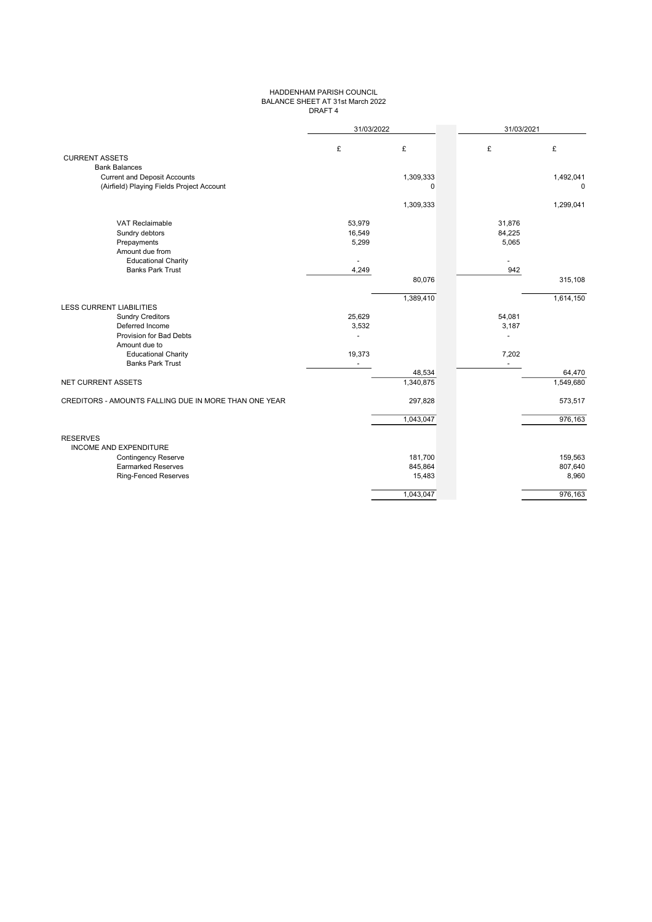## HADDENHAM PARISH COUNCIL BALANCE SHEET AT 31st March 2022 DRAFT 4

|                                                       | 31/03/2022     |                          | 31/03/2021 |                          |
|-------------------------------------------------------|----------------|--------------------------|------------|--------------------------|
|                                                       | £              | £                        | £          | £                        |
| <b>CURRENT ASSETS</b>                                 |                |                          |            |                          |
| <b>Bank Balances</b>                                  |                |                          |            |                          |
| <b>Current and Deposit Accounts</b>                   |                | 1,309,333<br>$\mathbf 0$ |            | 1,492,041<br>$\mathbf 0$ |
| (Airfield) Playing Fields Project Account             |                |                          |            |                          |
|                                                       |                | 1,309,333                |            | 1,299,041                |
| <b>VAT Reclaimable</b>                                | 53,979         |                          | 31,876     |                          |
| Sundry debtors                                        | 16,549         |                          | 84,225     |                          |
| Prepayments                                           | 5,299          |                          | 5,065      |                          |
| Amount due from                                       |                |                          |            |                          |
| <b>Educational Charity</b>                            |                |                          |            |                          |
| <b>Banks Park Trust</b>                               | 4,249          |                          | 942        |                          |
|                                                       |                | 80,076                   |            | 315,108                  |
|                                                       |                | 1,389,410                |            | 1,614,150                |
| <b>LESS CURRENT LIABILITIES</b>                       |                |                          |            |                          |
| <b>Sundry Creditors</b>                               | 25,629         |                          | 54,081     |                          |
| Deferred Income                                       | 3,532          |                          | 3,187      |                          |
| Provision for Bad Debts                               |                |                          |            |                          |
| Amount due to                                         |                |                          |            |                          |
| <b>Educational Charity</b>                            | 19,373         |                          | 7,202      |                          |
| <b>Banks Park Trust</b>                               | $\blacksquare$ |                          | $\sim$     |                          |
|                                                       |                | 48,534                   |            | 64,470                   |
| NET CURRENT ASSETS                                    |                | 1,340,875                |            | 1,549,680                |
| CREDITORS - AMOUNTS FALLING DUE IN MORE THAN ONE YEAR |                | 297,828                  |            | 573,517                  |
|                                                       |                | 1,043,047                |            | 976,163                  |
| <b>RESERVES</b>                                       |                |                          |            |                          |
| <b>INCOME AND EXPENDITURE</b>                         |                |                          |            |                          |
| <b>Contingency Reserve</b>                            |                | 181,700                  |            | 159,563                  |
| <b>Earmarked Reserves</b>                             |                | 845,864                  |            | 807,640                  |
| <b>Ring-Fenced Reserves</b>                           |                | 15,483                   |            | 8,960                    |
|                                                       |                | 1,043,047                |            | 976,163                  |